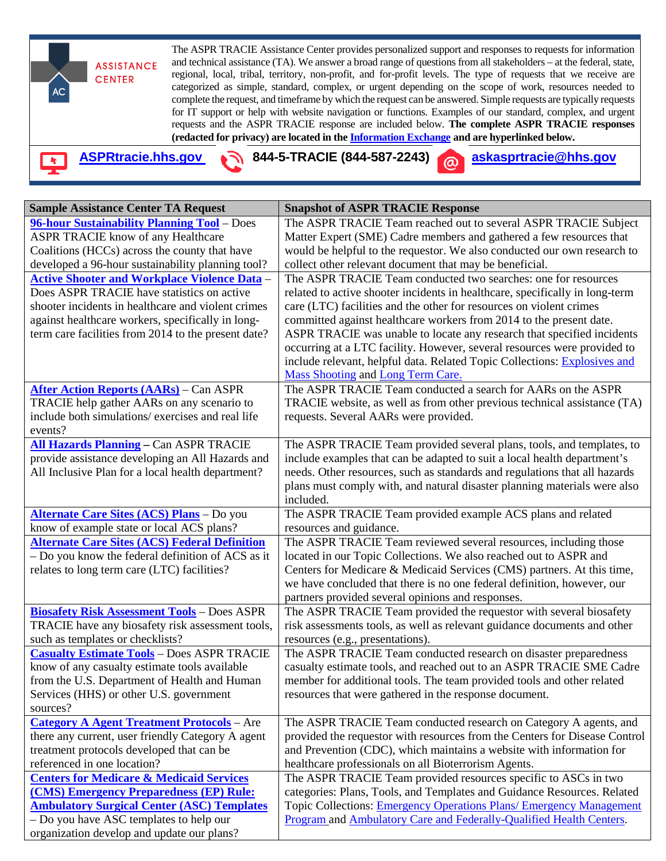

| <b>Sample Assistance Center TA Request</b>                                           | <b>Snapshot of ASPR TRACIE Response</b>                                                                                                    |
|--------------------------------------------------------------------------------------|--------------------------------------------------------------------------------------------------------------------------------------------|
| 96-hour Sustainability Planning Tool - Does                                          | The ASPR TRACIE Team reached out to several ASPR TRACIE Subject                                                                            |
| <b>ASPR TRACIE know of any Healthcare</b>                                            | Matter Expert (SME) Cadre members and gathered a few resources that                                                                        |
| Coalitions (HCCs) across the county that have                                        | would be helpful to the requestor. We also conducted our own research to                                                                   |
| developed a 96-hour sustainability planning tool?                                    | collect other relevant document that may be beneficial.                                                                                    |
| <b>Active Shooter and Workplace Violence Data -</b>                                  | The ASPR TRACIE Team conducted two searches: one for resources                                                                             |
| Does ASPR TRACIE have statistics on active                                           | related to active shooter incidents in healthcare, specifically in long-term                                                               |
| shooter incidents in healthcare and violent crimes                                   | care (LTC) facilities and the other for resources on violent crimes                                                                        |
| against healthcare workers, specifically in long-                                    | committed against healthcare workers from 2014 to the present date.                                                                        |
| term care facilities from 2014 to the present date?                                  | ASPR TRACIE was unable to locate any research that specified incidents                                                                     |
|                                                                                      | occurring at a LTC facility. However, several resources were provided to                                                                   |
|                                                                                      | include relevant, helpful data. Related Topic Collections: Explosives and                                                                  |
|                                                                                      | <b>Mass Shooting and Long Term Care.</b>                                                                                                   |
| <b>After Action Reports (AARs)</b> – Can ASPR                                        | The ASPR TRACIE Team conducted a search for AARs on the ASPR                                                                               |
| TRACIE help gather AARs on any scenario to                                           | TRACIE website, as well as from other previous technical assistance (TA)                                                                   |
| include both simulations/ exercises and real life                                    | requests. Several AARs were provided.                                                                                                      |
| events?                                                                              |                                                                                                                                            |
| <b>All Hazards Planning - Can ASPR TRACIE</b>                                        | The ASPR TRACIE Team provided several plans, tools, and templates, to                                                                      |
| provide assistance developing an All Hazards and                                     | include examples that can be adapted to suit a local health department's                                                                   |
| All Inclusive Plan for a local health department?                                    | needs. Other resources, such as standards and regulations that all hazards                                                                 |
|                                                                                      | plans must comply with, and natural disaster planning materials were also                                                                  |
|                                                                                      | included.                                                                                                                                  |
| <b>Alternate Care Sites (ACS) Plans</b> - Do you                                     | The ASPR TRACIE Team provided example ACS plans and related                                                                                |
| know of example state or local ACS plans?                                            | resources and guidance.                                                                                                                    |
| <b>Alternate Care Sites (ACS) Federal Definition</b>                                 | The ASPR TRACIE Team reviewed several resources, including those                                                                           |
| - Do you know the federal definition of ACS as it                                    | located in our Topic Collections. We also reached out to ASPR and                                                                          |
| relates to long term care (LTC) facilities?                                          | Centers for Medicare & Medicaid Services (CMS) partners. At this time,                                                                     |
|                                                                                      | we have concluded that there is no one federal definition, however, our                                                                    |
|                                                                                      | partners provided several opinions and responses.                                                                                          |
| <b>Biosafety Risk Assessment Tools - Does ASPR</b>                                   | The ASPR TRACIE Team provided the requestor with several biosafety                                                                         |
| TRACIE have any biosafety risk assessment tools,<br>such as templates or checklists? | risk assessments tools, as well as relevant guidance documents and other                                                                   |
| <b>Casualty Estimate Tools - Does ASPR TRACIE</b>                                    | resources (e.g., presentations).                                                                                                           |
| know of any casualty estimate tools available                                        | The ASPR TRACIE Team conducted research on disaster preparedness<br>casualty estimate tools, and reached out to an ASPR TRACIE SME Cadre   |
| from the U.S. Department of Health and Human                                         | member for additional tools. The team provided tools and other related                                                                     |
| Services (HHS) or other U.S. government                                              | resources that were gathered in the response document.                                                                                     |
| sources?                                                                             |                                                                                                                                            |
| <b>Category A Agent Treatment Protocols</b> - Are                                    | The ASPR TRACIE Team conducted research on Category A agents, and                                                                          |
| there any current, user friendly Category A agent                                    | provided the requestor with resources from the Centers for Disease Control                                                                 |
| treatment protocols developed that can be                                            | and Prevention (CDC), which maintains a website with information for                                                                       |
| referenced in one location?                                                          | healthcare professionals on all Bioterrorism Agents.                                                                                       |
| <b>Centers for Medicare &amp; Medicaid Services</b>                                  | The ASPR TRACIE Team provided resources specific to ASCs in two                                                                            |
| (CMS) Emergency Preparedness (EP) Rule:                                              | categories: Plans, Tools, and Templates and Guidance Resources. Related                                                                    |
| <b>Ambulatory Surgical Center (ASC) Templates</b>                                    |                                                                                                                                            |
|                                                                                      |                                                                                                                                            |
| - Do you have ASC templates to help our                                              | Topic Collections: Emergency Operations Plans/ Emergency Management<br>Program and Ambulatory Care and Federally-Qualified Health Centers. |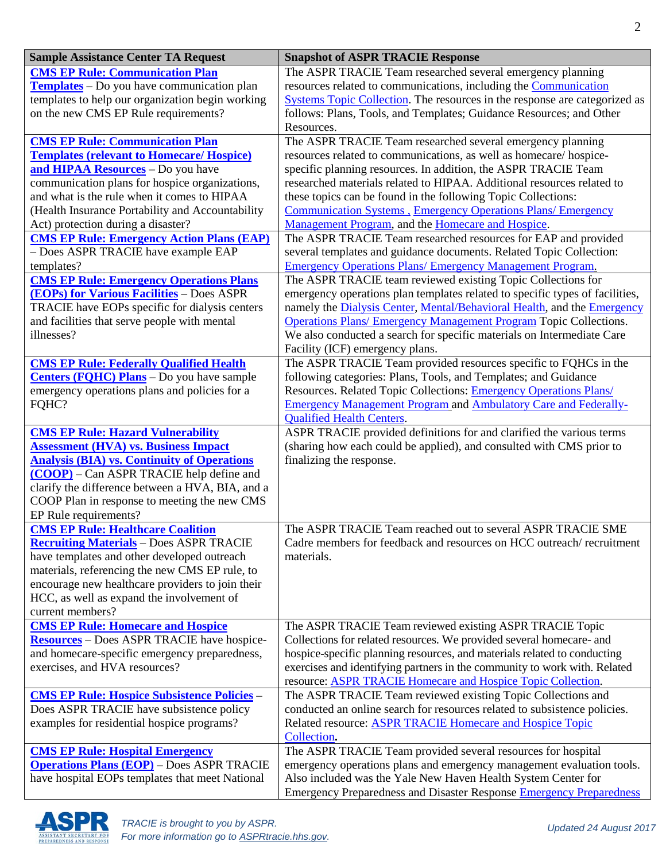| <b>Sample Assistance Center TA Request</b>                                                                                                                                                                                                                                                                                                                                    | <b>Snapshot of ASPR TRACIE Response</b>                                                                                                                                                                                                                                                                                                                                                                                                                                                                                                                     |
|-------------------------------------------------------------------------------------------------------------------------------------------------------------------------------------------------------------------------------------------------------------------------------------------------------------------------------------------------------------------------------|-------------------------------------------------------------------------------------------------------------------------------------------------------------------------------------------------------------------------------------------------------------------------------------------------------------------------------------------------------------------------------------------------------------------------------------------------------------------------------------------------------------------------------------------------------------|
| <b>CMS EP Rule: Communication Plan</b><br><b>Templates</b> – Do you have communication plan<br>templates to help our organization begin working<br>on the new CMS EP Rule requirements?                                                                                                                                                                                       | The ASPR TRACIE Team researched several emergency planning<br>resources related to communications, including the Communication<br>Systems Topic Collection. The resources in the response are categorized as<br>follows: Plans, Tools, and Templates; Guidance Resources; and Other<br>Resources.                                                                                                                                                                                                                                                           |
| <b>CMS EP Rule: Communication Plan</b><br><b>Templates (relevant to Homecare/Hospice)</b><br>and HIPAA Resources - Do you have<br>communication plans for hospice organizations,<br>and what is the rule when it comes to HIPAA<br>(Health Insurance Portability and Accountability<br>Act) protection during a disaster?<br><b>CMS EP Rule: Emergency Action Plans (EAP)</b> | The ASPR TRACIE Team researched several emergency planning<br>resources related to communications, as well as homecare/hospice-<br>specific planning resources. In addition, the ASPR TRACIE Team<br>researched materials related to HIPAA. Additional resources related to<br>these topics can be found in the following Topic Collections:<br><b>Communication Systems, Emergency Operations Plans/ Emergency</b><br>Management Program, and the Homecare and Hospice.<br>The ASPR TRACIE Team researched resources for EAP and provided                  |
| - Does ASPR TRACIE have example EAP<br>templates?<br><b>CMS EP Rule: Emergency Operations Plans</b><br><b>(EOPs) for Various Facilities</b> - Does ASPR<br>TRACIE have EOPs specific for dialysis centers<br>and facilities that serve people with mental<br>illnesses?                                                                                                       | several templates and guidance documents. Related Topic Collection:<br><b>Emergency Operations Plans/ Emergency Management Program.</b><br>The ASPR TRACIE team reviewed existing Topic Collections for<br>emergency operations plan templates related to specific types of facilities,<br>namely the Dialysis Center, Mental/Behavioral Health, and the Emergency<br><b>Operations Plans/ Emergency Management Program Topic Collections.</b><br>We also conducted a search for specific materials on Intermediate Care<br>Facility (ICF) emergency plans. |
| <b>CMS EP Rule: Federally Qualified Health</b><br><b>Centers (FQHC) Plans</b> - Do you have sample<br>emergency operations plans and policies for a<br>FQHC?                                                                                                                                                                                                                  | The ASPR TRACIE Team provided resources specific to FQHCs in the<br>following categories: Plans, Tools, and Templates; and Guidance<br>Resources. Related Topic Collections: Emergency Operations Plans/<br><b>Emergency Management Program and Ambulatory Care and Federally-</b><br><b>Qualified Health Centers.</b>                                                                                                                                                                                                                                      |
| <b>CMS EP Rule: Hazard Vulnerability</b><br><b>Assessment (HVA) vs. Business Impact</b><br><b>Analysis (BIA) vs. Continuity of Operations</b><br>(COOP) – Can ASPR TRACIE help define and<br>clarify the difference between a HVA, BIA, and a<br>COOP Plan in response to meeting the new CMS<br>EP Rule requirements?                                                        | ASPR TRACIE provided definitions for and clarified the various terms<br>(sharing how each could be applied), and consulted with CMS prior to<br>finalizing the response.                                                                                                                                                                                                                                                                                                                                                                                    |
| <b>CMS EP Rule: Healthcare Coalition</b><br><b>Recruiting Materials</b> - Does ASPR TRACIE<br>have templates and other developed outreach<br>materials, referencing the new CMS EP rule, to<br>encourage new healthcare providers to join their<br>HCC, as well as expand the involvement of<br>current members?                                                              | The ASPR TRACIE Team reached out to several ASPR TRACIE SME<br>Cadre members for feedback and resources on HCC outreach/recruitment<br>materials.                                                                                                                                                                                                                                                                                                                                                                                                           |
| <b>CMS EP Rule: Homecare and Hospice</b><br><b>Resources</b> - Does ASPR TRACIE have hospice-<br>and homecare-specific emergency preparedness,<br>exercises, and HVA resources?                                                                                                                                                                                               | The ASPR TRACIE Team reviewed existing ASPR TRACIE Topic<br>Collections for related resources. We provided several homecare- and<br>hospice-specific planning resources, and materials related to conducting<br>exercises and identifying partners in the community to work with. Related<br>resource: ASPR TRACIE Homecare and Hospice Topic Collection.                                                                                                                                                                                                   |
| <b>CMS EP Rule: Hospice Subsistence Policies -</b><br>Does ASPR TRACIE have subsistence policy<br>examples for residential hospice programs?                                                                                                                                                                                                                                  | The ASPR TRACIE Team reviewed existing Topic Collections and<br>conducted an online search for resources related to subsistence policies.<br>Related resource: <b>ASPR TRACIE Homecare and Hospice Topic</b><br>Collection.                                                                                                                                                                                                                                                                                                                                 |
| <b>CMS EP Rule: Hospital Emergency</b><br><b>Operations Plans (EOP)</b> - Does ASPR TRACIE<br>have hospital EOPs templates that meet National                                                                                                                                                                                                                                 | The ASPR TRACIE Team provided several resources for hospital<br>emergency operations plans and emergency management evaluation tools.<br>Also included was the Yale New Haven Health System Center for<br><b>Emergency Preparedness and Disaster Response Emergency Preparedness</b>                                                                                                                                                                                                                                                                        |

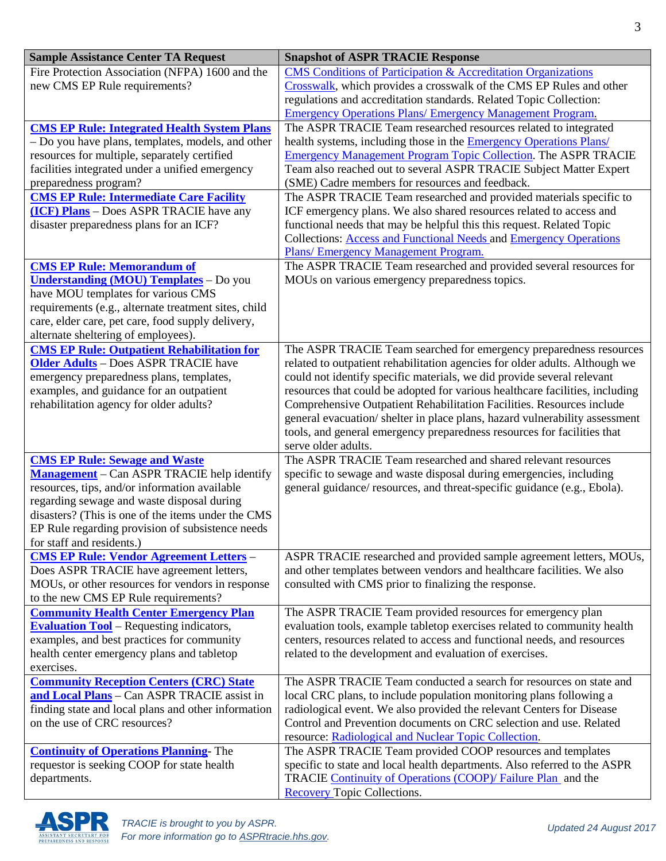| <b>Sample Assistance Center TA Request</b>                                               | <b>Snapshot of ASPR TRACIE Response</b>                                                                                                     |
|------------------------------------------------------------------------------------------|---------------------------------------------------------------------------------------------------------------------------------------------|
| Fire Protection Association (NFPA) 1600 and the                                          | <b>CMS</b> Conditions of Participation & Accreditation Organizations                                                                        |
| new CMS EP Rule requirements?                                                            | Crosswalk, which provides a crosswalk of the CMS EP Rules and other                                                                         |
|                                                                                          | regulations and accreditation standards. Related Topic Collection:                                                                          |
|                                                                                          | <b>Emergency Operations Plans/ Emergency Management Program.</b>                                                                            |
| <b>CMS EP Rule: Integrated Health System Plans</b>                                       | The ASPR TRACIE Team researched resources related to integrated                                                                             |
| - Do you have plans, templates, models, and other                                        | health systems, including those in the <b>Emergency Operations Plans</b> /                                                                  |
| resources for multiple, separately certified                                             | <b>Emergency Management Program Topic Collection. The ASPR TRACIE</b>                                                                       |
| facilities integrated under a unified emergency                                          | Team also reached out to several ASPR TRACIE Subject Matter Expert                                                                          |
| preparedness program?                                                                    | (SME) Cadre members for resources and feedback.                                                                                             |
| <b>CMS EP Rule: Intermediate Care Facility</b>                                           | The ASPR TRACIE Team researched and provided materials specific to                                                                          |
| (ICF) Plans - Does ASPR TRACIE have any                                                  | ICF emergency plans. We also shared resources related to access and                                                                         |
| disaster preparedness plans for an ICF?                                                  | functional needs that may be helpful this this request. Related Topic                                                                       |
|                                                                                          | Collections: <b>Access and Functional Needs and Emergency Operations</b>                                                                    |
|                                                                                          | Plans/ Emergency Management Program.                                                                                                        |
| <b>CMS EP Rule: Memorandum of</b>                                                        | The ASPR TRACIE Team researched and provided several resources for                                                                          |
| <b>Understanding (MOU) Templates</b> - Do you                                            | MOUs on various emergency preparedness topics.                                                                                              |
| have MOU templates for various CMS                                                       |                                                                                                                                             |
| requirements (e.g., alternate treatment sites, child                                     |                                                                                                                                             |
| care, elder care, pet care, food supply delivery,                                        |                                                                                                                                             |
| alternate sheltering of employees).<br><b>CMS EP Rule: Outpatient Rehabilitation for</b> | The ASPR TRACIE Team searched for emergency preparedness resources                                                                          |
| <b>Older Adults</b> - Does ASPR TRACIE have                                              | related to outpatient rehabilitation agencies for older adults. Although we                                                                 |
| emergency preparedness plans, templates,                                                 | could not identify specific materials, we did provide several relevant                                                                      |
| examples, and guidance for an outpatient                                                 | resources that could be adopted for various healthcare facilities, including                                                                |
| rehabilitation agency for older adults?                                                  | Comprehensive Outpatient Rehabilitation Facilities. Resources include                                                                       |
|                                                                                          | general evacuation/shelter in place plans, hazard vulnerability assessment                                                                  |
|                                                                                          | tools, and general emergency preparedness resources for facilities that                                                                     |
|                                                                                          | serve older adults.                                                                                                                         |
| <b>CMS EP Rule: Sewage and Waste</b>                                                     | The ASPR TRACIE Team researched and shared relevant resources                                                                               |
| <b>Management</b> – Can ASPR TRACIE help identify                                        | specific to sewage and waste disposal during emergencies, including                                                                         |
| resources, tips, and/or information available                                            | general guidance/ resources, and threat-specific guidance (e.g., Ebola).                                                                    |
| regarding sewage and waste disposal during                                               |                                                                                                                                             |
| disasters? (This is one of the items under the CMS                                       |                                                                                                                                             |
| EP Rule regarding provision of subsistence needs                                         |                                                                                                                                             |
| for staff and residents.)                                                                |                                                                                                                                             |
| <b>CMS EP Rule: Vendor Agreement Letters -</b>                                           | ASPR TRACIE researched and provided sample agreement letters, MOUs,                                                                         |
| Does ASPR TRACIE have agreement letters,                                                 | and other templates between vendors and healthcare facilities. We also                                                                      |
| MOUs, or other resources for vendors in response                                         | consulted with CMS prior to finalizing the response.                                                                                        |
| to the new CMS EP Rule requirements?                                                     |                                                                                                                                             |
| <b>Community Health Center Emergency Plan</b>                                            | The ASPR TRACIE Team provided resources for emergency plan                                                                                  |
| <b>Evaluation Tool</b> – Requesting indicators,                                          | evaluation tools, example tabletop exercises related to community health                                                                    |
| examples, and best practices for community                                               | centers, resources related to access and functional needs, and resources                                                                    |
| health center emergency plans and tabletop                                               | related to the development and evaluation of exercises.                                                                                     |
| exercises.                                                                               |                                                                                                                                             |
| <b>Community Reception Centers (CRC) State</b>                                           | The ASPR TRACIE Team conducted a search for resources on state and                                                                          |
| and Local Plans - Can ASPR TRACIE assist in                                              | local CRC plans, to include population monitoring plans following a                                                                         |
| finding state and local plans and other information<br>on the use of CRC resources?      | radiological event. We also provided the relevant Centers for Disease<br>Control and Prevention documents on CRC selection and use. Related |
|                                                                                          | resource: Radiological and Nuclear Topic Collection.                                                                                        |
| <b>Continuity of Operations Planning-The</b>                                             | The ASPR TRACIE Team provided COOP resources and templates                                                                                  |
| requestor is seeking COOP for state health                                               | specific to state and local health departments. Also referred to the ASPR                                                                   |
| departments.                                                                             | TRACIE Continuity of Operations (COOP)/ Failure Plan and the                                                                                |
|                                                                                          | <b>Recovery Topic Collections.</b>                                                                                                          |

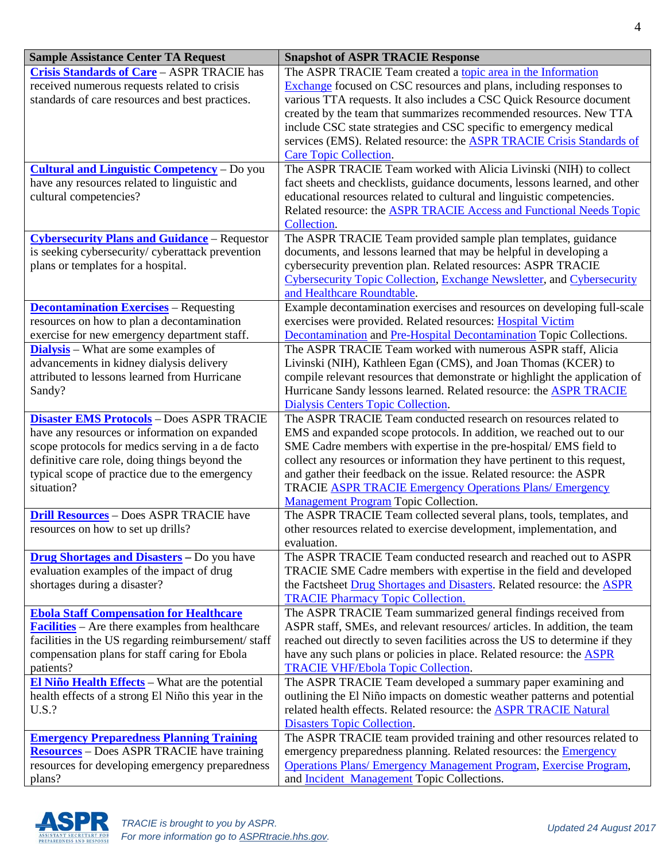| <b>Sample Assistance Center TA Request</b>                                                                                                           | <b>Snapshot of ASPR TRACIE Response</b>                                                                                                                                                                                  |
|------------------------------------------------------------------------------------------------------------------------------------------------------|--------------------------------------------------------------------------------------------------------------------------------------------------------------------------------------------------------------------------|
| <b>Crisis Standards of Care - ASPR TRACIE has</b><br>received numerous requests related to crisis<br>standards of care resources and best practices. | The ASPR TRACIE Team created a topic area in the Information<br><b>Exchange</b> focused on CSC resources and plans, including responses to<br>various TTA requests. It also includes a CSC Quick Resource document       |
|                                                                                                                                                      | created by the team that summarizes recommended resources. New TTA<br>include CSC state strategies and CSC specific to emergency medical<br>services (EMS). Related resource: the <b>ASPR TRACIE Crisis Standards of</b> |
|                                                                                                                                                      | <b>Care Topic Collection.</b>                                                                                                                                                                                            |
| <b>Cultural and Linguistic Competency</b> – Do you                                                                                                   | The ASPR TRACIE Team worked with Alicia Livinski (NIH) to collect                                                                                                                                                        |
| have any resources related to linguistic and<br>cultural competencies?                                                                               | fact sheets and checklists, guidance documents, lessons learned, and other<br>educational resources related to cultural and linguistic competencies.                                                                     |
|                                                                                                                                                      | Related resource: the <b>ASPR TRACIE Access and Functional Needs Topic</b>                                                                                                                                               |
|                                                                                                                                                      | Collection.                                                                                                                                                                                                              |
| <b>Cybersecurity Plans and Guidance</b> – Requestor                                                                                                  | The ASPR TRACIE Team provided sample plan templates, guidance                                                                                                                                                            |
| is seeking cybersecurity/ cyberattack prevention                                                                                                     | documents, and lessons learned that may be helpful in developing a                                                                                                                                                       |
| plans or templates for a hospital.                                                                                                                   | cybersecurity prevention plan. Related resources: ASPR TRACIE                                                                                                                                                            |
|                                                                                                                                                      | Cybersecurity Topic Collection, Exchange Newsletter, and Cybersecurity                                                                                                                                                   |
|                                                                                                                                                      | and Healthcare Roundtable.                                                                                                                                                                                               |
| <b>Decontamination Exercises</b> - Requesting                                                                                                        | Example decontamination exercises and resources on developing full-scale                                                                                                                                                 |
| resources on how to plan a decontamination                                                                                                           | exercises were provided. Related resources: Hospital Victim                                                                                                                                                              |
| exercise for new emergency department staff.                                                                                                         | Decontamination and Pre-Hospital Decontamination Topic Collections.                                                                                                                                                      |
| <b>Dialysis</b> – What are some examples of                                                                                                          | The ASPR TRACIE Team worked with numerous ASPR staff, Alicia                                                                                                                                                             |
| advancements in kidney dialysis delivery<br>attributed to lessons learned from Hurricane                                                             | Livinski (NIH), Kathleen Egan (CMS), and Joan Thomas (KCER) to<br>compile relevant resources that demonstrate or highlight the application of                                                                            |
| Sandy?                                                                                                                                               | Hurricane Sandy lessons learned. Related resource: the <b>ASPR TRACIE</b>                                                                                                                                                |
|                                                                                                                                                      | <b>Dialysis Centers Topic Collection.</b>                                                                                                                                                                                |
| <b>Disaster EMS Protocols</b> - Does ASPR TRACIE                                                                                                     | The ASPR TRACIE Team conducted research on resources related to                                                                                                                                                          |
| have any resources or information on expanded                                                                                                        | EMS and expanded scope protocols. In addition, we reached out to our                                                                                                                                                     |
| scope protocols for medics serving in a de facto                                                                                                     | SME Cadre members with expertise in the pre-hospital/ EMS field to                                                                                                                                                       |
| definitive care role, doing things beyond the                                                                                                        | collect any resources or information they have pertinent to this request,                                                                                                                                                |
| typical scope of practice due to the emergency                                                                                                       | and gather their feedback on the issue. Related resource: the ASPR                                                                                                                                                       |
| situation?                                                                                                                                           | <b>TRACIE ASPR TRACIE Emergency Operations Plans/ Emergency</b>                                                                                                                                                          |
|                                                                                                                                                      | <b>Management Program Topic Collection.</b>                                                                                                                                                                              |
| <b>Drill Resources</b> - Does ASPR TRACIE have<br>resources on how to set up drills?                                                                 | The ASPR TRACIE Team collected several plans, tools, templates, and<br>other resources related to exercise development, implementation, and                                                                              |
|                                                                                                                                                      | evaluation.                                                                                                                                                                                                              |
| <b>Drug Shortages and Disasters</b> – Do you have                                                                                                    | The ASPR TRACIE Team conducted research and reached out to ASPR                                                                                                                                                          |
| evaluation examples of the impact of drug                                                                                                            | TRACIE SME Cadre members with expertise in the field and developed                                                                                                                                                       |
| shortages during a disaster?                                                                                                                         | the Factsheet Drug Shortages and Disasters. Related resource: the ASPR                                                                                                                                                   |
|                                                                                                                                                      | <b>TRACIE Pharmacy Topic Collection.</b>                                                                                                                                                                                 |
| <b>Ebola Staff Compensation for Healthcare</b>                                                                                                       | The ASPR TRACIE Team summarized general findings received from                                                                                                                                                           |
| <b>Facilities</b> – Are there examples from healthcare                                                                                               | ASPR staff, SMEs, and relevant resources/ articles. In addition, the team                                                                                                                                                |
| facilities in the US regarding reimbursement/staff                                                                                                   | reached out directly to seven facilities across the US to determine if they                                                                                                                                              |
| compensation plans for staff caring for Ebola                                                                                                        | have any such plans or policies in place. Related resource: the <b>ASPR</b>                                                                                                                                              |
| patients?<br><b>El Niño Health Effects</b> – What are the potential                                                                                  | <b>TRACIE VHF/Ebola Topic Collection.</b><br>The ASPR TRACIE Team developed a summary paper examining and                                                                                                                |
| health effects of a strong El Niño this year in the                                                                                                  | outlining the El Niño impacts on domestic weather patterns and potential                                                                                                                                                 |
| $U.S.$ ?                                                                                                                                             | related health effects. Related resource: the <b>ASPR TRACIE Natural</b>                                                                                                                                                 |
|                                                                                                                                                      | <b>Disasters Topic Collection.</b>                                                                                                                                                                                       |
| <b>Emergency Preparedness Planning Training</b>                                                                                                      | The ASPR TRACIE team provided training and other resources related to                                                                                                                                                    |
| <b>Resources</b> - Does ASPR TRACIE have training                                                                                                    | emergency preparedness planning. Related resources: the <b>Emergency</b>                                                                                                                                                 |
| resources for developing emergency preparedness                                                                                                      | <b>Operations Plans/ Emergency Management Program, Exercise Program,</b>                                                                                                                                                 |
| plans?                                                                                                                                               | and <b>Incident Management</b> Topic Collections.                                                                                                                                                                        |

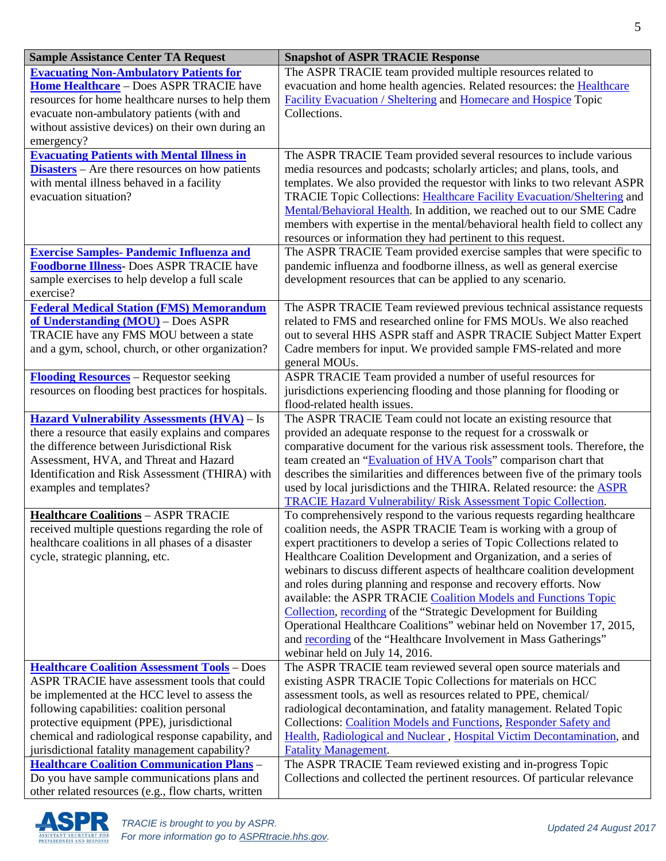| <b>Sample Assistance Center TA Request</b>                                                    | <b>Snapshot of ASPR TRACIE Response</b>                                                                                                           |
|-----------------------------------------------------------------------------------------------|---------------------------------------------------------------------------------------------------------------------------------------------------|
| <b>Evacuating Non-Ambulatory Patients for</b>                                                 | The ASPR TRACIE team provided multiple resources related to                                                                                       |
| Home Healthcare - Does ASPR TRACIE have                                                       | evacuation and home health agencies. Related resources: the Healthcare                                                                            |
| resources for home healthcare nurses to help them                                             | Facility Evacuation / Sheltering and Homecare and Hospice Topic                                                                                   |
| evacuate non-ambulatory patients (with and                                                    | Collections.                                                                                                                                      |
| without assistive devices) on their own during an                                             |                                                                                                                                                   |
| emergency?                                                                                    |                                                                                                                                                   |
| <b>Evacuating Patients with Mental Illness in</b>                                             | The ASPR TRACIE Team provided several resources to include various                                                                                |
| <b>Disasters</b> – Are there resources on how patients                                        | media resources and podcasts; scholarly articles; and plans, tools, and                                                                           |
| with mental illness behaved in a facility                                                     | templates. We also provided the requestor with links to two relevant ASPR                                                                         |
| evacuation situation?                                                                         | TRACIE Topic Collections: Healthcare Facility Evacuation/Sheltering and<br>Mental/Behavioral Health. In addition, we reached out to our SME Cadre |
|                                                                                               | members with expertise in the mental/behavioral health field to collect any                                                                       |
|                                                                                               | resources or information they had pertinent to this request.                                                                                      |
| <b>Exercise Samples- Pandemic Influenza and</b>                                               | The ASPR TRACIE Team provided exercise samples that were specific to                                                                              |
| <b>Foodborne Illness-</b> Does ASPR TRACIE have                                               | pandemic influenza and foodborne illness, as well as general exercise                                                                             |
| sample exercises to help develop a full scale                                                 | development resources that can be applied to any scenario.                                                                                        |
| exercise?                                                                                     |                                                                                                                                                   |
| <b>Federal Medical Station (FMS) Memorandum</b>                                               | The ASPR TRACIE Team reviewed previous technical assistance requests                                                                              |
| of Understanding (MOU) - Does ASPR                                                            | related to FMS and researched online for FMS MOUs. We also reached                                                                                |
| TRACIE have any FMS MOU between a state                                                       | out to several HHS ASPR staff and ASPR TRACIE Subject Matter Expert                                                                               |
| and a gym, school, church, or other organization?                                             | Cadre members for input. We provided sample FMS-related and more                                                                                  |
|                                                                                               | general MOUs.                                                                                                                                     |
| <b>Flooding Resources</b> – Requestor seeking                                                 | ASPR TRACIE Team provided a number of useful resources for                                                                                        |
| resources on flooding best practices for hospitals.                                           | jurisdictions experiencing flooding and those planning for flooding or                                                                            |
|                                                                                               | flood-related health issues.                                                                                                                      |
| <b>Hazard Vulnerability Assessments (HVA)</b> – Is                                            | The ASPR TRACIE Team could not locate an existing resource that                                                                                   |
| there a resource that easily explains and compares                                            | provided an adequate response to the request for a crosswalk or                                                                                   |
| the difference between Jurisdictional Risk                                                    | comparative document for the various risk assessment tools. Therefore, the                                                                        |
| Assessment, HVA, and Threat and Hazard<br>Identification and Risk Assessment (THIRA) with     | team created an "Evaluation of HVA Tools" comparison chart that<br>describes the similarities and differences between five of the primary tools   |
| examples and templates?                                                                       | used by local jurisdictions and the THIRA. Related resource: the <b>ASPR</b>                                                                      |
|                                                                                               | <b>TRACIE Hazard Vulnerability/ Risk Assessment Topic Collection.</b>                                                                             |
| <b>Healthcare Coalitions - ASPR TRACIE</b>                                                    | To comprehensively respond to the various requests regarding healthcare                                                                           |
| received multiple questions regarding the role of                                             | coalition needs, the ASPR TRACIE Team is working with a group of                                                                                  |
| healthcare coalitions in all phases of a disaster                                             | expert practitioners to develop a series of Topic Collections related to                                                                          |
| cycle, strategic planning, etc.                                                               | Healthcare Coalition Development and Organization, and a series of                                                                                |
|                                                                                               | webinars to discuss different aspects of healthcare coalition development                                                                         |
|                                                                                               | and roles during planning and response and recovery efforts. Now                                                                                  |
|                                                                                               | available: the ASPR TRACIE Coalition Models and Functions Topic                                                                                   |
|                                                                                               | Collection, recording of the "Strategic Development for Building                                                                                  |
|                                                                                               | Operational Healthcare Coalitions" webinar held on November 17, 2015,                                                                             |
|                                                                                               | and recording of the "Healthcare Involvement in Mass Gatherings"                                                                                  |
|                                                                                               | webinar held on July 14, 2016.                                                                                                                    |
| <b>Healthcare Coalition Assessment Tools</b> - Does                                           | The ASPR TRACIE team reviewed several open source materials and                                                                                   |
| ASPR TRACIE have assessment tools that could<br>be implemented at the HCC level to assess the | existing ASPR TRACIE Topic Collections for materials on HCC<br>assessment tools, as well as resources related to PPE, chemical/                   |
| following capabilities: coalition personal                                                    | radiological decontamination, and fatality management. Related Topic                                                                              |
| protective equipment (PPE), jurisdictional                                                    | Collections: Coalition Models and Functions, Responder Safety and                                                                                 |
| chemical and radiological response capability, and                                            | Health, Radiological and Nuclear, Hospital Victim Decontamination, and                                                                            |
| jurisdictional fatality management capability?                                                | <b>Fatality Management.</b>                                                                                                                       |
| <b>Healthcare Coalition Communication Plans -</b>                                             | The ASPR TRACIE Team reviewed existing and in-progress Topic                                                                                      |
| Do you have sample communications plans and                                                   | Collections and collected the pertinent resources. Of particular relevance                                                                        |
| other related resources (e.g., flow charts, written                                           |                                                                                                                                                   |

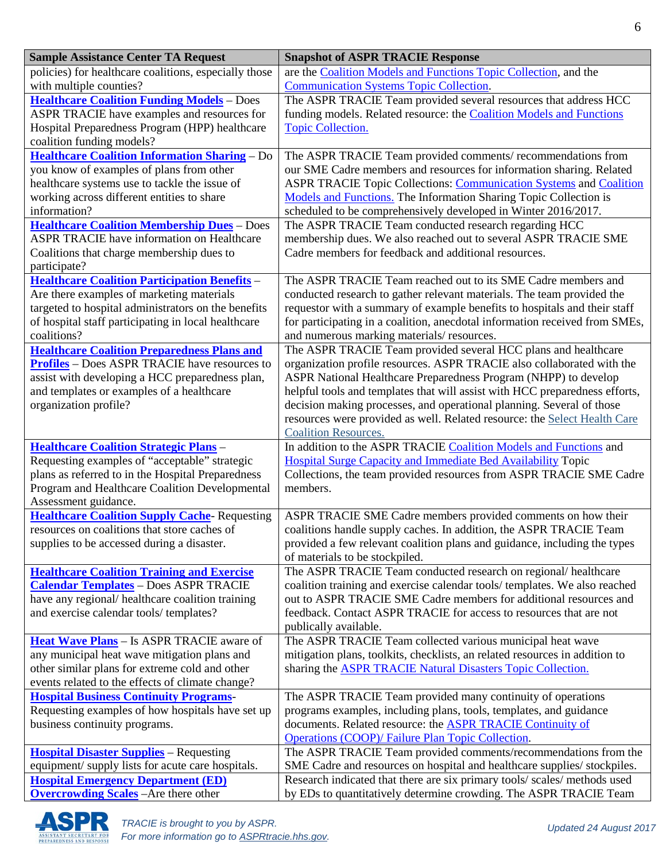| <b>Sample Assistance Center TA Request</b>                                                                 | <b>Snapshot of ASPR TRACIE Response</b>                                                                                                                  |
|------------------------------------------------------------------------------------------------------------|----------------------------------------------------------------------------------------------------------------------------------------------------------|
| policies) for healthcare coalitions, especially those                                                      | are the Coalition Models and Functions Topic Collection, and the                                                                                         |
| with multiple counties?                                                                                    | <b>Communication Systems Topic Collection.</b>                                                                                                           |
| <b>Healthcare Coalition Funding Models</b> - Does                                                          | The ASPR TRACIE Team provided several resources that address HCC                                                                                         |
| ASPR TRACIE have examples and resources for                                                                | funding models. Related resource: the <b>Coalition Models and Functions</b>                                                                              |
| Hospital Preparedness Program (HPP) healthcare                                                             | <b>Topic Collection.</b>                                                                                                                                 |
| coalition funding models?                                                                                  |                                                                                                                                                          |
| <b>Healthcare Coalition Information Sharing - Do</b>                                                       | The ASPR TRACIE Team provided comments/recommendations from                                                                                              |
| you know of examples of plans from other                                                                   | our SME Cadre members and resources for information sharing. Related                                                                                     |
| healthcare systems use to tackle the issue of                                                              | ASPR TRACIE Topic Collections: Communication Systems and Coalition                                                                                       |
| working across different entities to share                                                                 | Models and Functions. The Information Sharing Topic Collection is                                                                                        |
| information?                                                                                               | scheduled to be comprehensively developed in Winter 2016/2017.                                                                                           |
| <b>Healthcare Coalition Membership Dues</b> - Does                                                         | The ASPR TRACIE Team conducted research regarding HCC                                                                                                    |
| <b>ASPR TRACIE have information on Healthcare</b>                                                          | membership dues. We also reached out to several ASPR TRACIE SME                                                                                          |
| Coalitions that charge membership dues to                                                                  | Cadre members for feedback and additional resources.                                                                                                     |
| participate?                                                                                               |                                                                                                                                                          |
| Healthcare Coalition Participation Benefits -                                                              | The ASPR TRACIE Team reached out to its SME Cadre members and                                                                                            |
| Are there examples of marketing materials                                                                  | conducted research to gather relevant materials. The team provided the                                                                                   |
| targeted to hospital administrators on the benefits<br>of hospital staff participating in local healthcare | requestor with a summary of example benefits to hospitals and their staff<br>for participating in a coalition, anecdotal information received from SMEs, |
| coalitions?                                                                                                | and numerous marking materials/resources.                                                                                                                |
| <b>Healthcare Coalition Preparedness Plans and</b>                                                         | The ASPR TRACIE Team provided several HCC plans and healthcare                                                                                           |
| <b>Profiles</b> – Does ASPR TRACIE have resources to                                                       | organization profile resources. ASPR TRACIE also collaborated with the                                                                                   |
| assist with developing a HCC preparedness plan,                                                            | ASPR National Healthcare Preparedness Program (NHPP) to develop                                                                                          |
| and templates or examples of a healthcare                                                                  | helpful tools and templates that will assist with HCC preparedness efforts,                                                                              |
| organization profile?                                                                                      | decision making processes, and operational planning. Several of those                                                                                    |
|                                                                                                            | resources were provided as well. Related resource: the Select Health Care                                                                                |
|                                                                                                            | <b>Coalition Resources.</b>                                                                                                                              |
| <b>Healthcare Coalition Strategic Plans -</b>                                                              | In addition to the ASPR TRACIE Coalition Models and Functions and                                                                                        |
| Requesting examples of "acceptable" strategic                                                              | <b>Hospital Surge Capacity and Immediate Bed Availability Topic</b>                                                                                      |
| plans as referred to in the Hospital Preparedness                                                          | Collections, the team provided resources from ASPR TRACIE SME Cadre                                                                                      |
| Program and Healthcare Coalition Developmental                                                             | members.                                                                                                                                                 |
| Assessment guidance.                                                                                       |                                                                                                                                                          |
| <b>Healthcare Coalition Supply Cache-Requesting</b>                                                        | ASPR TRACIE SME Cadre members provided comments on how their                                                                                             |
| resources on coalitions that store caches of                                                               | coalitions handle supply caches. In addition, the ASPR TRACIE Team                                                                                       |
| supplies to be accessed during a disaster.                                                                 | provided a few relevant coalition plans and guidance, including the types                                                                                |
|                                                                                                            | of materials to be stockpiled.                                                                                                                           |
| <b>Healthcare Coalition Training and Exercise</b>                                                          | The ASPR TRACIE Team conducted research on regional/ healthcare                                                                                          |
| <b>Calendar Templates - Does ASPR TRACIE</b>                                                               | coalition training and exercise calendar tools/templates. We also reached                                                                                |
| have any regional/ healthcare coalition training                                                           | out to ASPR TRACIE SME Cadre members for additional resources and                                                                                        |
| and exercise calendar tools/templates?                                                                     | feedback. Contact ASPR TRACIE for access to resources that are not                                                                                       |
|                                                                                                            | publically available.                                                                                                                                    |
| <b>Heat Wave Plans</b> - Is ASPR TRACIE aware of<br>any municipal heat wave mitigation plans and           | The ASPR TRACIE Team collected various municipal heat wave<br>mitigation plans, toolkits, checklists, an related resources in addition to                |
| other similar plans for extreme cold and other                                                             | sharing the <b>ASPR TRACIE Natural Disasters Topic Collection.</b>                                                                                       |
| events related to the effects of climate change?                                                           |                                                                                                                                                          |
| <b>Hospital Business Continuity Programs-</b>                                                              | The ASPR TRACIE Team provided many continuity of operations                                                                                              |
| Requesting examples of how hospitals have set up                                                           | programs examples, including plans, tools, templates, and guidance                                                                                       |
| business continuity programs.                                                                              | documents. Related resource: the <b>ASPR TRACIE Continuity of</b>                                                                                        |
|                                                                                                            | <b>Operations (COOP)/ Failure Plan Topic Collection.</b>                                                                                                 |
| <b>Hospital Disaster Supplies</b> – Requesting                                                             | The ASPR TRACIE Team provided comments/recommendations from the                                                                                          |
| equipment/ supply lists for acute care hospitals.                                                          | SME Cadre and resources on hospital and healthcare supplies/stockpiles.                                                                                  |
| <b>Hospital Emergency Department (ED)</b>                                                                  | Research indicated that there are six primary tools/ scales/ methods used                                                                                |
| <b>Overcrowding Scales</b> - Are there other                                                               | by EDs to quantitatively determine crowding. The ASPR TRACIE Team                                                                                        |

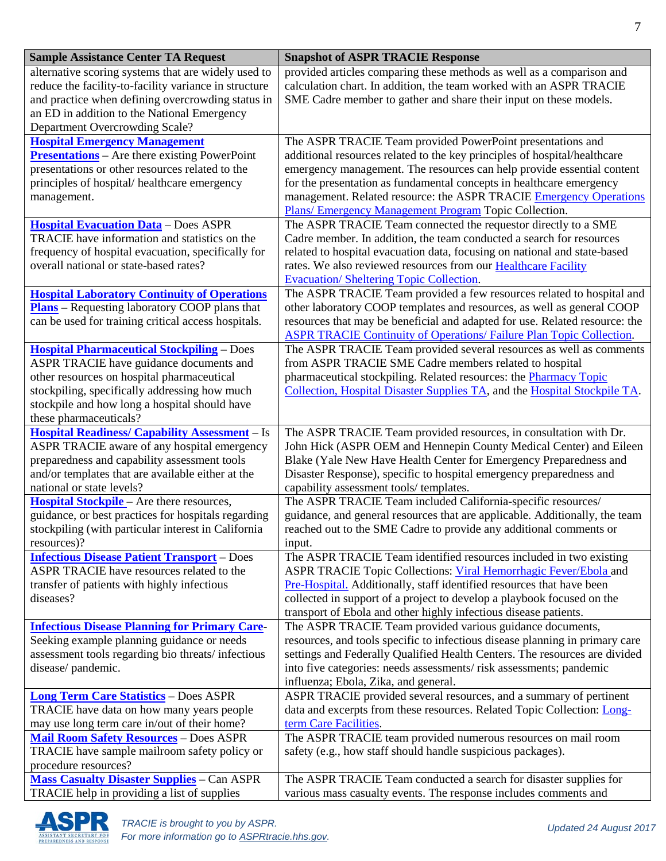| <b>Sample Assistance Center TA Request</b>                        | <b>Snapshot of ASPR TRACIE Response</b>                                                                                     |
|-------------------------------------------------------------------|-----------------------------------------------------------------------------------------------------------------------------|
| alternative scoring systems that are widely used to               | provided articles comparing these methods as well as a comparison and                                                       |
| reduce the facility-to-facility variance in structure             | calculation chart. In addition, the team worked with an ASPR TRACIE                                                         |
| and practice when defining overcrowding status in                 | SME Cadre member to gather and share their input on these models.                                                           |
| an ED in addition to the National Emergency                       |                                                                                                                             |
| Department Overcrowding Scale?                                    |                                                                                                                             |
| <b>Hospital Emergency Management</b>                              | The ASPR TRACIE Team provided PowerPoint presentations and                                                                  |
| <b>Presentations</b> – Are there existing PowerPoint              | additional resources related to the key principles of hospital/healthcare                                                   |
| presentations or other resources related to the                   | emergency management. The resources can help provide essential content                                                      |
| principles of hospital/healthcare emergency                       | for the presentation as fundamental concepts in healthcare emergency                                                        |
| management.                                                       | management. Related resource: the ASPR TRACIE Emergency Operations<br>Plans/ Emergency Management Program Topic Collection. |
| <b>Hospital Evacuation Data</b> - Does ASPR                       | The ASPR TRACIE Team connected the requestor directly to a SME                                                              |
| TRACIE have information and statistics on the                     | Cadre member. In addition, the team conducted a search for resources                                                        |
| frequency of hospital evacuation, specifically for                | related to hospital evacuation data, focusing on national and state-based                                                   |
| overall national or state-based rates?                            | rates. We also reviewed resources from our Healthcare Facility                                                              |
|                                                                   | <b>Evacuation/Sheltering Topic Collection.</b>                                                                              |
| <b>Hospital Laboratory Continuity of Operations</b>               | The ASPR TRACIE Team provided a few resources related to hospital and                                                       |
| <b>Plans</b> – Requesting laboratory COOP plans that              | other laboratory COOP templates and resources, as well as general COOP                                                      |
| can be used for training critical access hospitals.               | resources that may be beneficial and adapted for use. Related resource: the                                                 |
|                                                                   | <b>ASPR TRACIE Continuity of Operations/ Failure Plan Topic Collection.</b>                                                 |
| <b>Hospital Pharmaceutical Stockpiling - Does</b>                 | The ASPR TRACIE Team provided several resources as well as comments                                                         |
| ASPR TRACIE have guidance documents and                           | from ASPR TRACIE SME Cadre members related to hospital                                                                      |
| other resources on hospital pharmaceutical                        | pharmaceutical stockpiling. Related resources: the Pharmacy Topic                                                           |
| stockpiling, specifically addressing how much                     | Collection, Hospital Disaster Supplies TA, and the Hospital Stockpile TA.                                                   |
| stockpile and how long a hospital should have                     |                                                                                                                             |
| these pharmaceuticals?                                            |                                                                                                                             |
| <b>Hospital Readiness/ Capability Assessment</b> - Is             | The ASPR TRACIE Team provided resources, in consultation with Dr.                                                           |
| ASPR TRACIE aware of any hospital emergency                       | John Hick (ASPR OEM and Hennepin County Medical Center) and Eileen                                                          |
| preparedness and capability assessment tools                      | Blake (Yale New Have Health Center for Emergency Preparedness and                                                           |
| and/or templates that are available either at the                 | Disaster Response), specific to hospital emergency preparedness and                                                         |
| national or state levels?                                         | capability assessment tools/templates.                                                                                      |
| Hospital Stockpile - Are there resources,                         | The ASPR TRACIE Team included California-specific resources/                                                                |
| guidance, or best practices for hospitals regarding               | guidance, and general resources that are applicable. Additionally, the team                                                 |
| stockpiling (with particular interest in California               | reached out to the SME Cadre to provide any additional comments or                                                          |
| resources)?<br><b>Infectious Disease Patient Transport - Does</b> | input.<br>The ASPR TRACIE Team identified resources included in two existing                                                |
| ASPR TRACIE have resources related to the                         | ASPR TRACIE Topic Collections: Viral Hemorrhagic Fever/Ebola and                                                            |
| transfer of patients with highly infectious                       | Pre-Hospital. Additionally, staff identified resources that have been                                                       |
| diseases?                                                         | collected in support of a project to develop a playbook focused on the                                                      |
|                                                                   | transport of Ebola and other highly infectious disease patients.                                                            |
| <b>Infectious Disease Planning for Primary Care-</b>              | The ASPR TRACIE Team provided various guidance documents,                                                                   |
| Seeking example planning guidance or needs                        | resources, and tools specific to infectious disease planning in primary care                                                |
| assessment tools regarding bio threats/infectious                 | settings and Federally Qualified Health Centers. The resources are divided                                                  |
| disease/pandemic.                                                 | into five categories: needs assessments/risk assessments; pandemic                                                          |
|                                                                   | influenza; Ebola, Zika, and general.                                                                                        |
| <b>Long Term Care Statistics</b> - Does ASPR                      | ASPR TRACIE provided several resources, and a summary of pertinent                                                          |
| TRACIE have data on how many years people                         | data and excerpts from these resources. Related Topic Collection: Long-                                                     |
| may use long term care in/out of their home?                      | term Care Facilities.                                                                                                       |
| <b>Mail Room Safety Resources - Does ASPR</b>                     | The ASPR TRACIE team provided numerous resources on mail room                                                               |
| TRACIE have sample mailroom safety policy or                      | safety (e.g., how staff should handle suspicious packages).                                                                 |
| procedure resources?                                              |                                                                                                                             |
| <b>Mass Casualty Disaster Supplies</b> – Can ASPR                 | The ASPR TRACIE Team conducted a search for disaster supplies for                                                           |
| TRACIE help in providing a list of supplies                       | various mass casualty events. The response includes comments and                                                            |

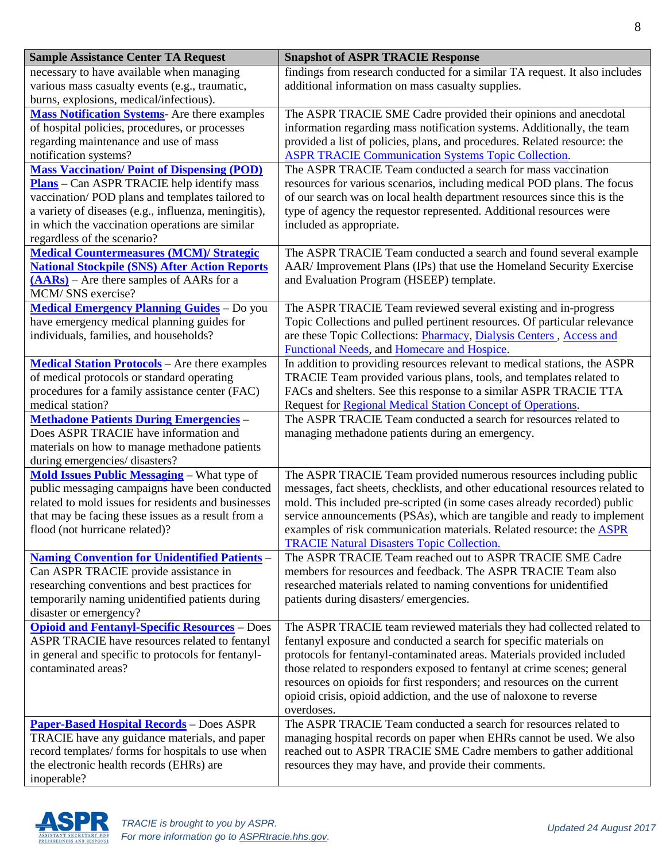| <b>Sample Assistance Center TA Request</b>                                                                                                                                                                                                                                                          | <b>Snapshot of ASPR TRACIE Response</b>                                                                                                                                                                                                                                                                                                                                                                                                                           |
|-----------------------------------------------------------------------------------------------------------------------------------------------------------------------------------------------------------------------------------------------------------------------------------------------------|-------------------------------------------------------------------------------------------------------------------------------------------------------------------------------------------------------------------------------------------------------------------------------------------------------------------------------------------------------------------------------------------------------------------------------------------------------------------|
| necessary to have available when managing<br>various mass casualty events (e.g., traumatic,<br>burns, explosions, medical/infectious).                                                                                                                                                              | findings from research conducted for a similar TA request. It also includes<br>additional information on mass casualty supplies.                                                                                                                                                                                                                                                                                                                                  |
| <b>Mass Notification Systems</b> - Are there examples<br>of hospital policies, procedures, or processes<br>regarding maintenance and use of mass<br>notification systems?                                                                                                                           | The ASPR TRACIE SME Cadre provided their opinions and anecdotal<br>information regarding mass notification systems. Additionally, the team<br>provided a list of policies, plans, and procedures. Related resource: the<br><b>ASPR TRACIE Communication Systems Topic Collection.</b>                                                                                                                                                                             |
| <b>Mass Vaccination/Point of Dispensing (POD)</b><br><b>Plans</b> – Can ASPR TRACIE help identify mass<br>vaccination/POD plans and templates tailored to<br>a variety of diseases (e.g., influenza, meningitis),<br>in which the vaccination operations are similar<br>regardless of the scenario? | The ASPR TRACIE Team conducted a search for mass vaccination<br>resources for various scenarios, including medical POD plans. The focus<br>of our search was on local health department resources since this is the<br>type of agency the requestor represented. Additional resources were<br>included as appropriate.                                                                                                                                            |
| <b>Medical Countermeasures (MCM)/ Strategic</b><br><b>National Stockpile (SNS) After Action Reports</b><br>(AARs) – Are there samples of AARs for a<br>MCM/SNS exercise?                                                                                                                            | The ASPR TRACIE Team conducted a search and found several example<br>AAR/ Improvement Plans (IPs) that use the Homeland Security Exercise<br>and Evaluation Program (HSEEP) template.                                                                                                                                                                                                                                                                             |
| <b>Medical Emergency Planning Guides</b> - Do you<br>have emergency medical planning guides for<br>individuals, families, and households?                                                                                                                                                           | The ASPR TRACIE Team reviewed several existing and in-progress<br>Topic Collections and pulled pertinent resources. Of particular relevance<br>are these Topic Collections: Pharmacy, Dialysis Centers, Access and<br>Functional Needs, and Homecare and Hospice.                                                                                                                                                                                                 |
| <b>Medical Station Protocols</b> - Are there examples<br>of medical protocols or standard operating<br>procedures for a family assistance center (FAC)<br>medical station?                                                                                                                          | In addition to providing resources relevant to medical stations, the ASPR<br>TRACIE Team provided various plans, tools, and templates related to<br>FACs and shelters. See this response to a similar ASPR TRACIE TTA<br>Request for Regional Medical Station Concept of Operations.                                                                                                                                                                              |
| <b>Methadone Patients During Emergencies -</b><br>Does ASPR TRACIE have information and<br>materials on how to manage methadone patients<br>during emergencies/ disasters?                                                                                                                          | The ASPR TRACIE Team conducted a search for resources related to<br>managing methadone patients during an emergency.                                                                                                                                                                                                                                                                                                                                              |
| <b>Mold Issues Public Messaging - What type of</b><br>public messaging campaigns have been conducted<br>related to mold issues for residents and businesses<br>that may be facing these issues as a result from a<br>flood (not hurricane related)?                                                 | The ASPR TRACIE Team provided numerous resources including public<br>messages, fact sheets, checklists, and other educational resources related to<br>mold. This included pre-scripted (in some cases already recorded) public<br>service announcements (PSAs), which are tangible and ready to implement<br>examples of risk communication materials. Related resource: the <b>ASPR</b><br><b>TRACIE Natural Disasters Topic Collection.</b>                     |
| <b>Naming Convention for Unidentified Patients -</b><br>Can ASPR TRACIE provide assistance in<br>researching conventions and best practices for<br>temporarily naming unidentified patients during<br>disaster or emergency?                                                                        | The ASPR TRACIE Team reached out to ASPR TRACIE SME Cadre<br>members for resources and feedback. The ASPR TRACIE Team also<br>researched materials related to naming conventions for unidentified<br>patients during disasters/emergencies.                                                                                                                                                                                                                       |
| <b>Opioid and Fentanyl-Specific Resources - Does</b><br>ASPR TRACIE have resources related to fentanyl<br>in general and specific to protocols for fentanyl-<br>contaminated areas?                                                                                                                 | The ASPR TRACIE team reviewed materials they had collected related to<br>fentanyl exposure and conducted a search for specific materials on<br>protocols for fentanyl-contaminated areas. Materials provided included<br>those related to responders exposed to fentanyl at crime scenes; general<br>resources on opioids for first responders; and resources on the current<br>opioid crisis, opioid addiction, and the use of naloxone to reverse<br>overdoses. |
| <b>Paper-Based Hospital Records - Does ASPR</b><br>TRACIE have any guidance materials, and paper<br>record templates/ forms for hospitals to use when<br>the electronic health records (EHRs) are<br>inoperable?                                                                                    | The ASPR TRACIE Team conducted a search for resources related to<br>managing hospital records on paper when EHRs cannot be used. We also<br>reached out to ASPR TRACIE SME Cadre members to gather additional<br>resources they may have, and provide their comments.                                                                                                                                                                                             |

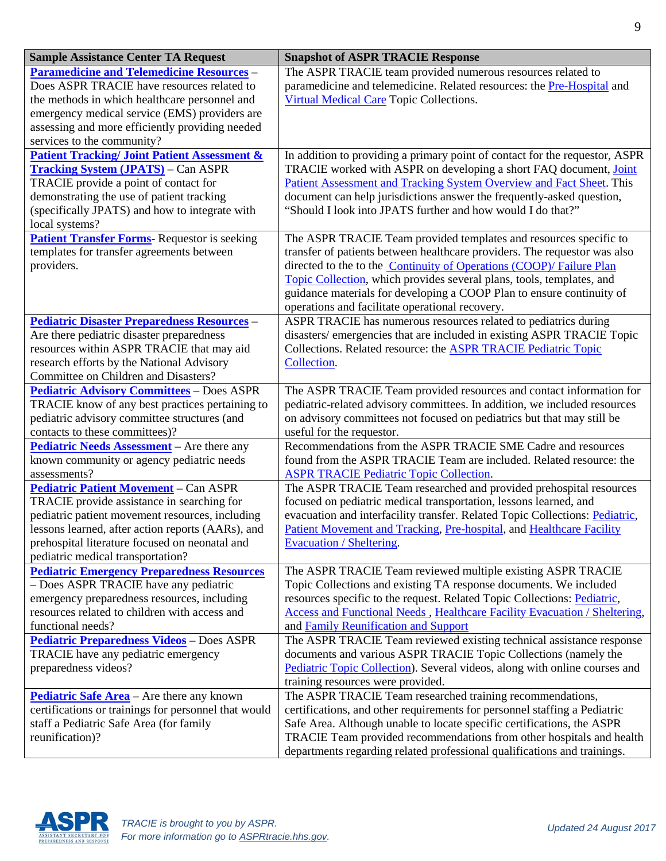| <b>Sample Assistance Center TA Request</b>                                                                                                                                                                                                                                                | <b>Snapshot of ASPR TRACIE Response</b>                                                                                                                                                                                                                                                                                                                                                                                     |
|-------------------------------------------------------------------------------------------------------------------------------------------------------------------------------------------------------------------------------------------------------------------------------------------|-----------------------------------------------------------------------------------------------------------------------------------------------------------------------------------------------------------------------------------------------------------------------------------------------------------------------------------------------------------------------------------------------------------------------------|
| <b>Paramedicine and Telemedicine Resources -</b><br>Does ASPR TRACIE have resources related to<br>the methods in which healthcare personnel and<br>emergency medical service (EMS) providers are<br>assessing and more efficiently providing needed<br>services to the community?         | The ASPR TRACIE team provided numerous resources related to<br>paramedicine and telemedicine. Related resources: the Pre-Hospital and<br>Virtual Medical Care Topic Collections.                                                                                                                                                                                                                                            |
| <b>Patient Tracking/Joint Patient Assessment &amp;</b><br><b>Tracking System (JPATS)</b> – Can ASPR<br>TRACIE provide a point of contact for<br>demonstrating the use of patient tracking<br>(specifically JPATS) and how to integrate with<br>local systems?                             | In addition to providing a primary point of contact for the requestor, ASPR<br>TRACIE worked with ASPR on developing a short FAQ document, Joint<br>Patient Assessment and Tracking System Overview and Fact Sheet. This<br>document can help jurisdictions answer the frequently-asked question,<br>"Should I look into JPATS further and how would I do that?"                                                            |
| <b>Patient Transfer Forms</b> - Requestor is seeking<br>templates for transfer agreements between<br>providers.                                                                                                                                                                           | The ASPR TRACIE Team provided templates and resources specific to<br>transfer of patients between healthcare providers. The requestor was also<br>directed to the to the Continuity of Operations (COOP)/ Failure Plan<br>Topic Collection, which provides several plans, tools, templates, and<br>guidance materials for developing a COOP Plan to ensure continuity of<br>operations and facilitate operational recovery. |
| <b>Pediatric Disaster Preparedness Resources -</b><br>Are there pediatric disaster preparedness<br>resources within ASPR TRACIE that may aid<br>research efforts by the National Advisory<br>Committee on Children and Disasters?                                                         | ASPR TRACIE has numerous resources related to pediatrics during<br>disasters/emergencies that are included in existing ASPR TRACIE Topic<br>Collections. Related resource: the ASPR TRACIE Pediatric Topic<br>Collection.                                                                                                                                                                                                   |
| <b>Pediatric Advisory Committees - Does ASPR</b><br>TRACIE know of any best practices pertaining to<br>pediatric advisory committee structures (and<br>contacts to these committees)?                                                                                                     | The ASPR TRACIE Team provided resources and contact information for<br>pediatric-related advisory committees. In addition, we included resources<br>on advisory committees not focused on pediatrics but that may still be<br>useful for the requestor.                                                                                                                                                                     |
| <b>Pediatric Needs Assessment</b> – Are there any<br>known community or agency pediatric needs<br>assessments?                                                                                                                                                                            | Recommendations from the ASPR TRACIE SME Cadre and resources<br>found from the ASPR TRACIE Team are included. Related resource: the<br><b>ASPR TRACIE Pediatric Topic Collection.</b>                                                                                                                                                                                                                                       |
| <b>Pediatric Patient Movement - Can ASPR</b><br>TRACIE provide assistance in searching for<br>pediatric patient movement resources, including<br>lessons learned, after action reports (AARs), and<br>prehospital literature focused on neonatal and<br>pediatric medical transportation? | The ASPR TRACIE Team researched and provided prehospital resources<br>focused on pediatric medical transportation, lessons learned, and<br>evacuation and interfacility transfer. Related Topic Collections: Pediatric,<br>Patient Movement and Tracking, Pre-hospital, and Healthcare Facility<br><b>Evacuation / Sheltering.</b>                                                                                          |
| <b>Pediatric Emergency Preparedness Resources</b><br>- Does ASPR TRACIE have any pediatric<br>emergency preparedness resources, including<br>resources related to children with access and<br>functional needs?                                                                           | The ASPR TRACIE Team reviewed multiple existing ASPR TRACIE<br>Topic Collections and existing TA response documents. We included<br>resources specific to the request. Related Topic Collections: Pediatric,<br><b>Access and Functional Needs, Healthcare Facility Evacuation / Sheltering,</b><br>and Family Reunification and Support                                                                                    |
| <b>Pediatric Preparedness Videos</b> - Does ASPR<br>TRACIE have any pediatric emergency<br>preparedness videos?                                                                                                                                                                           | The ASPR TRACIE Team reviewed existing technical assistance response<br>documents and various ASPR TRACIE Topic Collections (namely the<br>Pediatric Topic Collection). Several videos, along with online courses and<br>training resources were provided.                                                                                                                                                                  |
| Pediatric Safe Area - Are there any known<br>certifications or trainings for personnel that would<br>staff a Pediatric Safe Area (for family<br>reunification)?                                                                                                                           | The ASPR TRACIE Team researched training recommendations,<br>certifications, and other requirements for personnel staffing a Pediatric<br>Safe Area. Although unable to locate specific certifications, the ASPR<br>TRACIE Team provided recommendations from other hospitals and health<br>departments regarding related professional qualifications and trainings.                                                        |

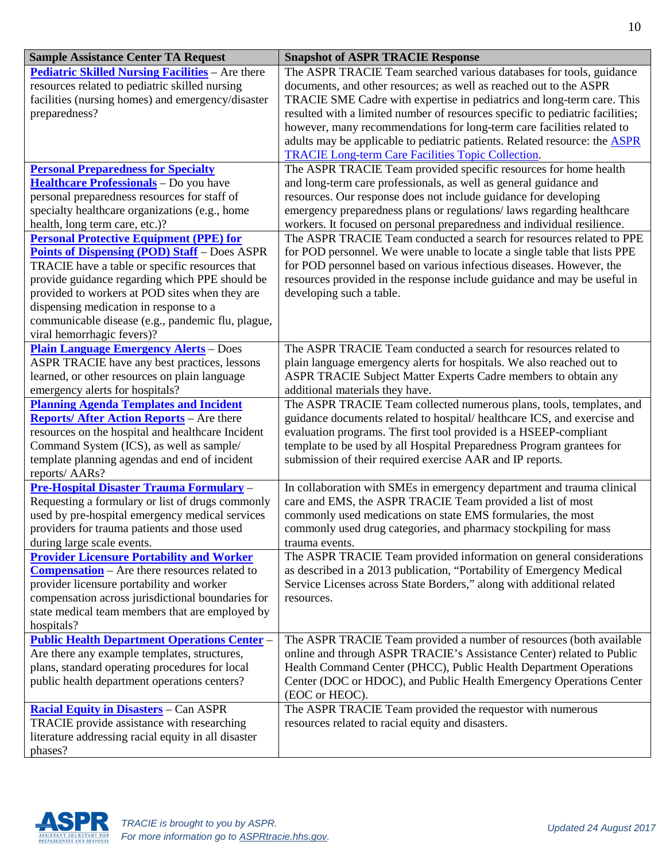| <b>Sample Assistance Center TA Request</b>                                                     | <b>Snapshot of ASPR TRACIE Response</b>                                                                                                                     |
|------------------------------------------------------------------------------------------------|-------------------------------------------------------------------------------------------------------------------------------------------------------------|
| <b>Pediatric Skilled Nursing Facilities</b> - Are there                                        | The ASPR TRACIE Team searched various databases for tools, guidance                                                                                         |
| resources related to pediatric skilled nursing                                                 | documents, and other resources; as well as reached out to the ASPR                                                                                          |
| facilities (nursing homes) and emergency/disaster                                              | TRACIE SME Cadre with expertise in pediatrics and long-term care. This                                                                                      |
| preparedness?                                                                                  | resulted with a limited number of resources specific to pediatric facilities;                                                                               |
|                                                                                                | however, many recommendations for long-term care facilities related to<br>adults may be applicable to pediatric patients. Related resource: the <b>ASPR</b> |
|                                                                                                | <b>TRACIE Long-term Care Facilities Topic Collection.</b>                                                                                                   |
| <b>Personal Preparedness for Specialty</b>                                                     | The ASPR TRACIE Team provided specific resources for home health                                                                                            |
| Healthcare Professionals - Do you have                                                         | and long-term care professionals, as well as general guidance and                                                                                           |
| personal preparedness resources for staff of                                                   | resources. Our response does not include guidance for developing                                                                                            |
| specialty healthcare organizations (e.g., home                                                 | emergency preparedness plans or regulations/laws regarding healthcare                                                                                       |
| health, long term care, etc.)?                                                                 | workers. It focused on personal preparedness and individual resilience.                                                                                     |
| <b>Personal Protective Equipment (PPE) for</b>                                                 | The ASPR TRACIE Team conducted a search for resources related to PPE                                                                                        |
| <b>Points of Dispensing (POD) Staff</b> – Does ASPR                                            | for POD personnel. We were unable to locate a single table that lists PPE                                                                                   |
| TRACIE have a table or specific resources that                                                 | for POD personnel based on various infectious diseases. However, the                                                                                        |
| provide guidance regarding which PPE should be                                                 | resources provided in the response include guidance and may be useful in                                                                                    |
| provided to workers at POD sites when they are                                                 | developing such a table.                                                                                                                                    |
| dispensing medication in response to a                                                         |                                                                                                                                                             |
| communicable disease (e.g., pandemic flu, plague,                                              |                                                                                                                                                             |
| viral hemorrhagic fevers)?                                                                     |                                                                                                                                                             |
| <b>Plain Language Emergency Alerts - Does</b>                                                  | The ASPR TRACIE Team conducted a search for resources related to                                                                                            |
| ASPR TRACIE have any best practices, lessons                                                   | plain language emergency alerts for hospitals. We also reached out to                                                                                       |
| learned, or other resources on plain language                                                  | ASPR TRACIE Subject Matter Experts Cadre members to obtain any                                                                                              |
| emergency alerts for hospitals?<br><b>Planning Agenda Templates and Incident</b>               | additional materials they have.<br>The ASPR TRACIE Team collected numerous plans, tools, templates, and                                                     |
| <b>Reports/ After Action Reports</b> – Are there                                               | guidance documents related to hospital/ healthcare ICS, and exercise and                                                                                    |
| resources on the hospital and healthcare Incident                                              | evaluation programs. The first tool provided is a HSEEP-compliant                                                                                           |
| Command System (ICS), as well as sample/                                                       | template to be used by all Hospital Preparedness Program grantees for                                                                                       |
| template planning agendas and end of incident                                                  | submission of their required exercise AAR and IP reports.                                                                                                   |
| reports/ AARs?                                                                                 |                                                                                                                                                             |
| Pre-Hospital Disaster Trauma Formulary -                                                       | In collaboration with SMEs in emergency department and trauma clinical                                                                                      |
| Requesting a formulary or list of drugs commonly                                               | care and EMS, the ASPR TRACIE Team provided a list of most                                                                                                  |
| used by pre-hospital emergency medical services                                                | commonly used medications on state EMS formularies, the most                                                                                                |
| providers for trauma patients and those used                                                   | commonly used drug categories, and pharmacy stockpiling for mass                                                                                            |
| during large scale events.                                                                     | trauma events.                                                                                                                                              |
| <b>Provider Licensure Portability and Worker</b>                                               | The ASPR TRACIE Team provided information on general considerations                                                                                         |
| <b>Compensation</b> – Are there resources related to                                           | as described in a 2013 publication, "Portability of Emergency Medical                                                                                       |
| provider licensure portability and worker                                                      | Service Licenses across State Borders," along with additional related                                                                                       |
| compensation across jurisdictional boundaries for                                              | resources.                                                                                                                                                  |
| state medical team members that are employed by                                                |                                                                                                                                                             |
| hospitals?                                                                                     |                                                                                                                                                             |
| <b>Public Health Department Operations Center -</b>                                            | The ASPR TRACIE Team provided a number of resources (both available<br>online and through ASPR TRACIE's Assistance Center) related to Public                |
| Are there any example templates, structures,<br>plans, standard operating procedures for local | Health Command Center (PHCC), Public Health Department Operations                                                                                           |
| public health department operations centers?                                                   | Center (DOC or HDOC), and Public Health Emergency Operations Center                                                                                         |
|                                                                                                | (EOC or HEOC).                                                                                                                                              |
| <b>Racial Equity in Disasters</b> - Can ASPR                                                   | The ASPR TRACIE Team provided the requestor with numerous                                                                                                   |
| TRACIE provide assistance with researching                                                     | resources related to racial equity and disasters.                                                                                                           |
| literature addressing racial equity in all disaster                                            |                                                                                                                                                             |
| phases?                                                                                        |                                                                                                                                                             |

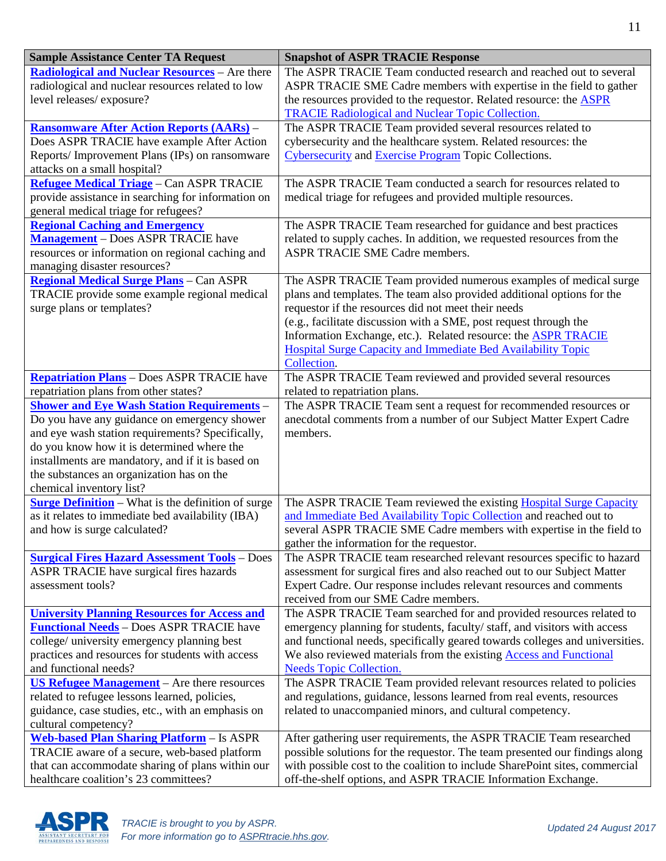| <b>Sample Assistance Center TA Request</b>                                                     | <b>Snapshot of ASPR TRACIE Response</b>                                                                                                         |
|------------------------------------------------------------------------------------------------|-------------------------------------------------------------------------------------------------------------------------------------------------|
| <b>Radiological and Nuclear Resources</b> - Are there                                          | The ASPR TRACIE Team conducted research and reached out to several                                                                              |
| radiological and nuclear resources related to low                                              | ASPR TRACIE SME Cadre members with expertise in the field to gather                                                                             |
| level releases/exposure?                                                                       | the resources provided to the requestor. Related resource: the <b>ASPR</b><br><b>TRACIE Radiological and Nuclear Topic Collection.</b>          |
| <b>Ransomware After Action Reports (AARs) -</b>                                                | The ASPR TRACIE Team provided several resources related to                                                                                      |
| Does ASPR TRACIE have example After Action                                                     | cybersecurity and the healthcare system. Related resources: the                                                                                 |
| Reports/Improvement Plans (IPs) on ransomware                                                  | Cybersecurity and Exercise Program Topic Collections.                                                                                           |
| attacks on a small hospital?                                                                   |                                                                                                                                                 |
| <b>Refugee Medical Triage</b> - Can ASPR TRACIE                                                | The ASPR TRACIE Team conducted a search for resources related to                                                                                |
| provide assistance in searching for information on                                             | medical triage for refugees and provided multiple resources.                                                                                    |
| general medical triage for refugees?                                                           |                                                                                                                                                 |
| <b>Regional Caching and Emergency</b>                                                          | The ASPR TRACIE Team researched for guidance and best practices                                                                                 |
| <b>Management</b> – Does ASPR TRACIE have                                                      | related to supply caches. In addition, we requested resources from the                                                                          |
| resources or information on regional caching and                                               | ASPR TRACIE SME Cadre members.                                                                                                                  |
| managing disaster resources?                                                                   |                                                                                                                                                 |
| <b>Regional Medical Surge Plans</b> - Can ASPR                                                 | The ASPR TRACIE Team provided numerous examples of medical surge                                                                                |
| TRACIE provide some example regional medical<br>surge plans or templates?                      | plans and templates. The team also provided additional options for the<br>requestor if the resources did not meet their needs                   |
|                                                                                                | (e.g., facilitate discussion with a SME, post request through the                                                                               |
|                                                                                                | Information Exchange, etc.). Related resource: the <b>ASPR TRACIE</b>                                                                           |
|                                                                                                | Hospital Surge Capacity and Immediate Bed Availability Topic                                                                                    |
|                                                                                                | Collection.                                                                                                                                     |
| <b>Repatriation Plans</b> - Does ASPR TRACIE have                                              | The ASPR TRACIE Team reviewed and provided several resources                                                                                    |
| repatriation plans from other states?                                                          | related to repatriation plans.                                                                                                                  |
| <b>Shower and Eye Wash Station Requirements -</b>                                              | The ASPR TRACIE Team sent a request for recommended resources or                                                                                |
| Do you have any guidance on emergency shower                                                   | anecdotal comments from a number of our Subject Matter Expert Cadre                                                                             |
| and eye wash station requirements? Specifically,<br>do you know how it is determined where the | members.                                                                                                                                        |
| installments are mandatory, and if it is based on                                              |                                                                                                                                                 |
| the substances an organization has on the                                                      |                                                                                                                                                 |
| chemical inventory list?                                                                       |                                                                                                                                                 |
| <b>Surge Definition</b> – What is the definition of surge                                      | The ASPR TRACIE Team reviewed the existing <b>Hospital Surge Capacity</b>                                                                       |
| as it relates to immediate bed availability (IBA)                                              | and Immediate Bed Availability Topic Collection and reached out to                                                                              |
| and how is surge calculated?                                                                   | several ASPR TRACIE SME Cadre members with expertise in the field to                                                                            |
|                                                                                                | gather the information for the requestor.                                                                                                       |
| <b>Surgical Fires Hazard Assessment Tools</b> - Does                                           | The ASPR TRACIE team researched relevant resources specific to hazard                                                                           |
| ASPR TRACIE have surgical fires hazards<br>assessment tools?                                   | assessment for surgical fires and also reached out to our Subject Matter<br>Expert Cadre. Our response includes relevant resources and comments |
|                                                                                                | received from our SME Cadre members.                                                                                                            |
| <b>University Planning Resources for Access and</b>                                            | The ASPR TRACIE Team searched for and provided resources related to                                                                             |
| <b>Functional Needs</b> - Does ASPR TRACIE have                                                | emergency planning for students, faculty/ staff, and visitors with access                                                                       |
| college/ university emergency planning best                                                    | and functional needs, specifically geared towards colleges and universities.                                                                    |
| practices and resources for students with access                                               | We also reviewed materials from the existing <b>Access and Functional</b>                                                                       |
| and functional needs?                                                                          | <b>Needs Topic Collection.</b>                                                                                                                  |
| US Refugee Management $-$ Are there resources                                                  | The ASPR TRACIE Team provided relevant resources related to policies                                                                            |
| related to refugee lessons learned, policies,                                                  | and regulations, guidance, lessons learned from real events, resources                                                                          |
| guidance, case studies, etc., with an emphasis on                                              | related to unaccompanied minors, and cultural competency.                                                                                       |
| cultural competency?<br><b>Web-based Plan Sharing Platform - Is ASPR</b>                       | After gathering user requirements, the ASPR TRACIE Team researched                                                                              |
| TRACIE aware of a secure, web-based platform                                                   | possible solutions for the requestor. The team presented our findings along                                                                     |
| that can accommodate sharing of plans within our                                               | with possible cost to the coalition to include SharePoint sites, commercial                                                                     |
| healthcare coalition's 23 committees?                                                          | off-the-shelf options, and ASPR TRACIE Information Exchange.                                                                                    |

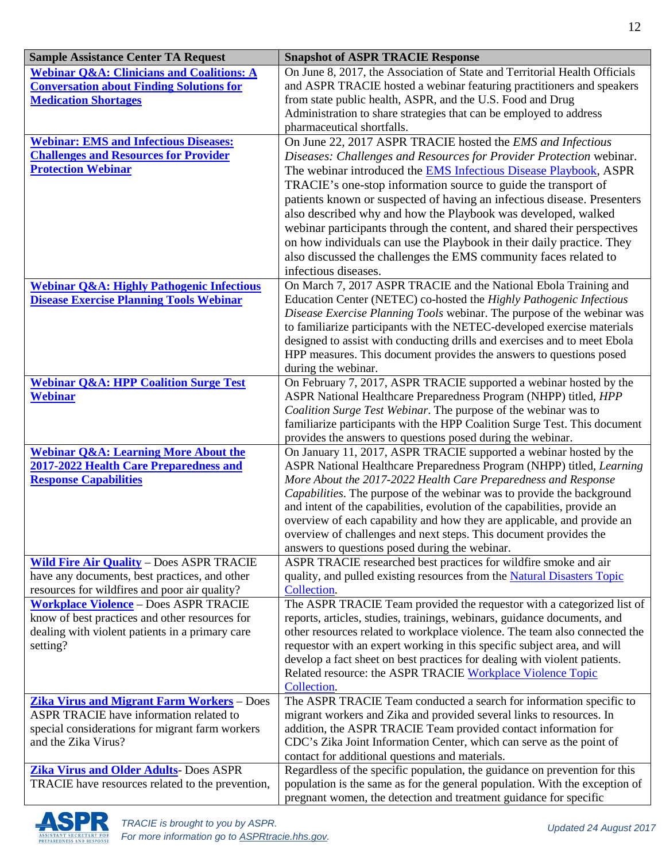| <b>Sample Assistance Center TA Request</b>                                                   | <b>Snapshot of ASPR TRACIE Response</b>                                                                                                        |
|----------------------------------------------------------------------------------------------|------------------------------------------------------------------------------------------------------------------------------------------------|
| <b>Webinar Q&amp;A: Clinicians and Coalitions: A</b>                                         | On June 8, 2017, the Association of State and Territorial Health Officials                                                                     |
| <b>Conversation about Finding Solutions for</b>                                              | and ASPR TRACIE hosted a webinar featuring practitioners and speakers                                                                          |
| <b>Medication Shortages</b>                                                                  | from state public health, ASPR, and the U.S. Food and Drug                                                                                     |
|                                                                                              | Administration to share strategies that can be employed to address                                                                             |
|                                                                                              | pharmaceutical shortfalls.                                                                                                                     |
| <b>Webinar: EMS and Infectious Diseases:</b><br><b>Challenges and Resources for Provider</b> | On June 22, 2017 ASPR TRACIE hosted the EMS and Infectious                                                                                     |
| <b>Protection Webinar</b>                                                                    | Diseases: Challenges and Resources for Provider Protection webinar.<br>The webinar introduced the <b>EMS</b> Infectious Disease Playbook, ASPR |
|                                                                                              | TRACIE's one-stop information source to guide the transport of                                                                                 |
|                                                                                              | patients known or suspected of having an infectious disease. Presenters                                                                        |
|                                                                                              | also described why and how the Playbook was developed, walked                                                                                  |
|                                                                                              | webinar participants through the content, and shared their perspectives                                                                        |
|                                                                                              | on how individuals can use the Playbook in their daily practice. They                                                                          |
|                                                                                              | also discussed the challenges the EMS community faces related to                                                                               |
|                                                                                              | infectious diseases.                                                                                                                           |
| <b>Webinar Q&amp;A: Highly Pathogenic Infectious</b>                                         | On March 7, 2017 ASPR TRACIE and the National Ebola Training and                                                                               |
| <b>Disease Exercise Planning Tools Webinar</b>                                               | Education Center (NETEC) co-hosted the Highly Pathogenic Infectious                                                                            |
|                                                                                              | Disease Exercise Planning Tools webinar. The purpose of the webinar was                                                                        |
|                                                                                              | to familiarize participants with the NETEC-developed exercise materials                                                                        |
|                                                                                              | designed to assist with conducting drills and exercises and to meet Ebola                                                                      |
|                                                                                              | HPP measures. This document provides the answers to questions posed                                                                            |
|                                                                                              | during the webinar.                                                                                                                            |
| <b>Webinar Q&amp;A: HPP Coalition Surge Test</b><br><b>Webinar</b>                           | On February 7, 2017, ASPR TRACIE supported a webinar hosted by the<br>ASPR National Healthcare Preparedness Program (NHPP) titled, HPP         |
|                                                                                              | Coalition Surge Test Webinar. The purpose of the webinar was to                                                                                |
|                                                                                              | familiarize participants with the HPP Coalition Surge Test. This document                                                                      |
|                                                                                              | provides the answers to questions posed during the webinar.                                                                                    |
| <b>Webinar Q&amp;A: Learning More About the</b>                                              | On January 11, 2017, ASPR TRACIE supported a webinar hosted by the                                                                             |
| 2017-2022 Health Care Preparedness and                                                       | ASPR National Healthcare Preparedness Program (NHPP) titled, Learning                                                                          |
| <b>Response Capabilities</b>                                                                 | More About the 2017-2022 Health Care Preparedness and Response                                                                                 |
|                                                                                              | Capabilities. The purpose of the webinar was to provide the background                                                                         |
|                                                                                              | and intent of the capabilities, evolution of the capabilities, provide an                                                                      |
|                                                                                              | overview of each capability and how they are applicable, and provide an                                                                        |
|                                                                                              | overview of challenges and next steps. This document provides the<br>answers to questions posed during the webinar.                            |
| <b>Wild Fire Air Quality - Does ASPR TRACIE</b>                                              | ASPR TRACIE researched best practices for wildfire smoke and air                                                                               |
| have any documents, best practices, and other                                                | quality, and pulled existing resources from the Natural Disasters Topic                                                                        |
| resources for wildfires and poor air quality?                                                | Collection.                                                                                                                                    |
| <b>Workplace Violence - Does ASPR TRACIE</b>                                                 | The ASPR TRACIE Team provided the requestor with a categorized list of                                                                         |
| know of best practices and other resources for                                               | reports, articles, studies, trainings, webinars, guidance documents, and                                                                       |
| dealing with violent patients in a primary care                                              | other resources related to workplace violence. The team also connected the                                                                     |
| setting?                                                                                     | requestor with an expert working in this specific subject area, and will                                                                       |
|                                                                                              | develop a fact sheet on best practices for dealing with violent patients.                                                                      |
|                                                                                              | Related resource: the ASPR TRACIE Workplace Violence Topic                                                                                     |
|                                                                                              | Collection.                                                                                                                                    |
| <b>Zika Virus and Migrant Farm Workers</b> - Does<br>ASPR TRACIE have information related to | The ASPR TRACIE Team conducted a search for information specific to<br>migrant workers and Zika and provided several links to resources. In    |
| special considerations for migrant farm workers                                              | addition, the ASPR TRACIE Team provided contact information for                                                                                |
| and the Zika Virus?                                                                          | CDC's Zika Joint Information Center, which can serve as the point of                                                                           |
|                                                                                              | contact for additional questions and materials.                                                                                                |
| <b>Zika Virus and Older Adults- Does ASPR</b>                                                | Regardless of the specific population, the guidance on prevention for this                                                                     |
| TRACIE have resources related to the prevention,                                             | population is the same as for the general population. With the exception of                                                                    |
|                                                                                              | pregnant women, the detection and treatment guidance for specific                                                                              |